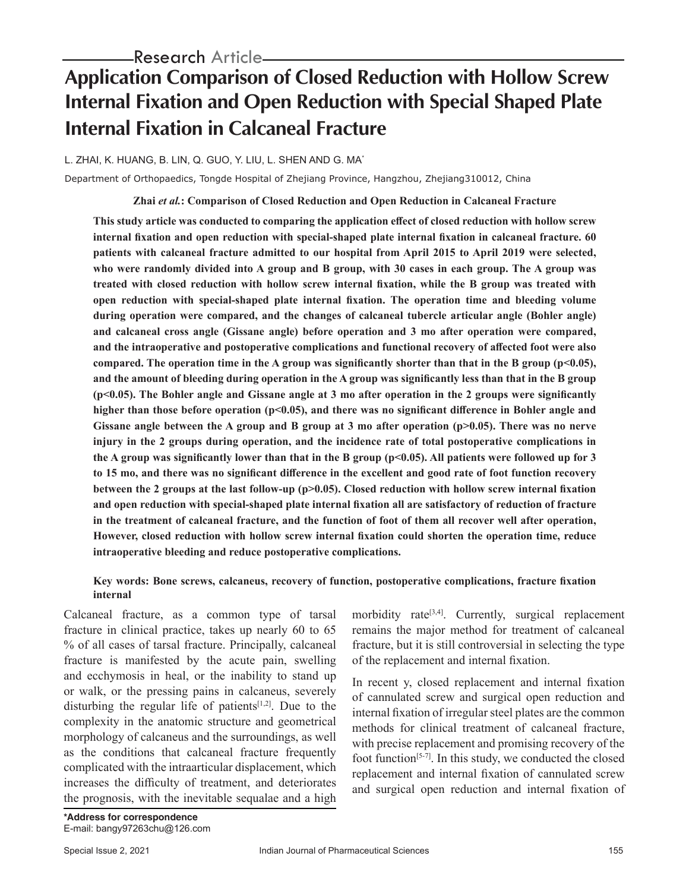# **Application Comparison of Closed Reduction with Hollow Screw Internal Fixation and Open Reduction with Special Shaped Plate Internal Fixation in Calcaneal Fracture**

L. ZHAI, K. HUANG, B. LIN, Q. GUO, Y. LIU, L. SHEN AND G. MA\*

Department of Orthopaedics, Tongde Hospital of Zhejiang Province, Hangzhou, Zhejiang310012, China

**Zhai** *et al.***: Comparison of Closed Reduction and Open Reduction in Calcaneal Fracture**

**This study article was conducted to comparing the application effect of closed reduction with hollow screw internal fixation and open reduction with special-shaped plate internal fixation in calcaneal fracture. 60 patients with calcaneal fracture admitted to our hospital from April 2015 to April 2019 were selected, who were randomly divided into A group and B group, with 30 cases in each group. The A group was treated with closed reduction with hollow screw internal fixation, while the B group was treated with open reduction with special-shaped plate internal fixation. The operation time and bleeding volume during operation were compared, and the changes of calcaneal tubercle articular angle (Bohler angle) and calcaneal cross angle (Gissane angle) before operation and 3 mo after operation were compared, and the intraoperative and postoperative complications and functional recovery of affected foot were also compared. The operation time in the A group was significantly shorter than that in the B group (p<0.05), and the amount of bleeding during operation in the A group was significantly less than that in the B group (p<0.05). The Bohler angle and Gissane angle at 3 mo after operation in the 2 groups were significantly**  higher than those before operation (p<0.05), and there was no significant difference in Bohler angle and Gissane angle between the A group and B group at 3 mo after operation (p>0.05). There was no nerve **injury in the 2 groups during operation, and the incidence rate of total postoperative complications in**  the A group was significantly lower than that in the B group  $(p<0.05)$ . All patients were followed up for 3 **to 15 mo, and there was no significant difference in the excellent and good rate of foot function recovery between the 2 groups at the last follow-up (p>0.05). Closed reduction with hollow screw internal fixation and open reduction with special-shaped plate internal fixation all are satisfactory of reduction of fracture in the treatment of calcaneal fracture, and the function of foot of them all recover well after operation, However, closed reduction with hollow screw internal fixation could shorten the operation time, reduce intraoperative bleeding and reduce postoperative complications.**

## **Key words: Bone screws, calcaneus, recovery of function, postoperative complications, fracture fixation internal**

Calcaneal fracture, as a common type of tarsal fracture in clinical practice, takes up nearly 60 to 65 % of all cases of tarsal fracture. Principally, calcaneal fracture is manifested by the acute pain, swelling and ecchymosis in heal, or the inability to stand up or walk, or the pressing pains in calcaneus, severely disturbing the regular life of patients<sup>[1,2]</sup>. Due to the complexity in the anatomic structure and geometrical morphology of calcaneus and the surroundings, as well as the conditions that calcaneal fracture frequently complicated with the intraarticular displacement, which increases the difficulty of treatment, and deteriorates the prognosis, with the inevitable sequalae and a high morbidity rate<sup>[3,4]</sup>. Currently, surgical replacement remains the major method for treatment of calcaneal fracture, but it is still controversial in selecting the type of the replacement and internal fixation.

In recent y, closed replacement and internal fixation of cannulated screw and surgical open reduction and internal fixation of irregular steel plates are the common methods for clinical treatment of calcaneal fracture, with precise replacement and promising recovery of the foot function<sup>[5-7]</sup>. In this study, we conducted the closed replacement and internal fixation of cannulated screw and surgical open reduction and internal fixation of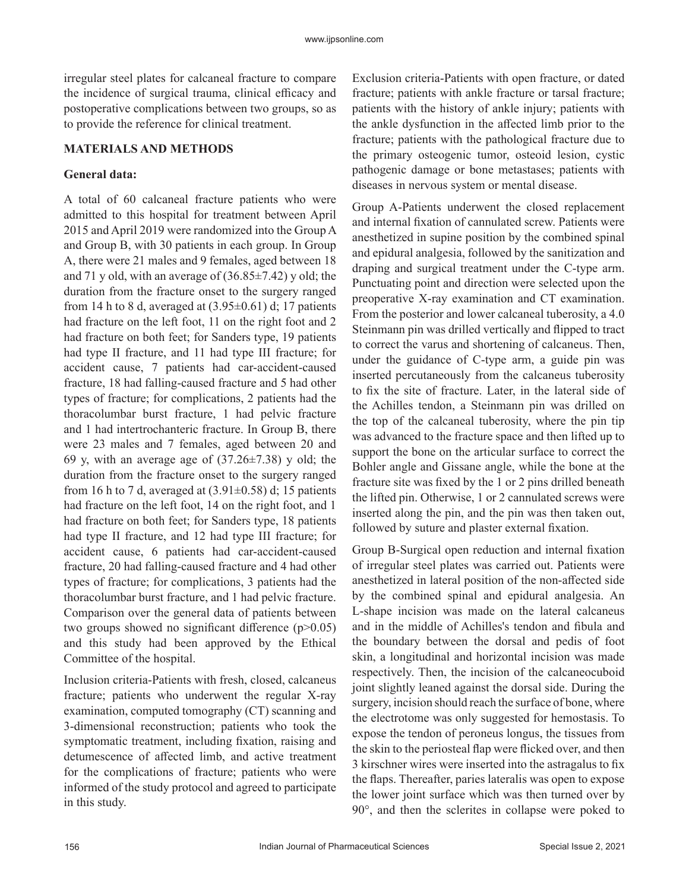irregular steel plates for calcaneal fracture to compare the incidence of surgical trauma, clinical efficacy and postoperative complications between two groups, so as to provide the reference for clinical treatment.

#### **MATERIALS AND METHODS**

#### **General data:**

A total of 60 calcaneal fracture patients who were admitted to this hospital for treatment between April 2015 and April 2019 were randomized into the Group A and Group B, with 30 patients in each group. In Group A, there were 21 males and 9 females, aged between 18 and 71 y old, with an average of  $(36.85 \pm 7.42)$  y old; the duration from the fracture onset to the surgery ranged from 14 h to 8 d, averaged at  $(3.95\pm0.61)$  d; 17 patients had fracture on the left foot, 11 on the right foot and 2 had fracture on both feet; for Sanders type, 19 patients had type II fracture, and 11 had type III fracture; for accident cause, 7 patients had car-accident-caused fracture, 18 had falling-caused fracture and 5 had other types of fracture; for complications, 2 patients had the thoracolumbar burst fracture, 1 had pelvic fracture and 1 had intertrochanteric fracture. In Group B, there were 23 males and 7 females, aged between 20 and 69 y, with an average age of  $(37.26\pm7.38)$  y old; the duration from the fracture onset to the surgery ranged from 16 h to 7 d, averaged at  $(3.91\pm0.58)$  d; 15 patients had fracture on the left foot, 14 on the right foot, and 1 had fracture on both feet; for Sanders type, 18 patients had type II fracture, and 12 had type III fracture; for accident cause, 6 patients had car-accident-caused fracture, 20 had falling-caused fracture and 4 had other types of fracture; for complications, 3 patients had the thoracolumbar burst fracture, and 1 had pelvic fracture. Comparison over the general data of patients between two groups showed no significant difference (p>0.05) and this study had been approved by the Ethical Committee of the hospital.

Inclusion criteria-Patients with fresh, closed, calcaneus fracture; patients who underwent the regular X-ray examination, computed tomography (CT) scanning and 3-dimensional reconstruction; patients who took the symptomatic treatment, including fixation, raising and detumescence of affected limb, and active treatment for the complications of fracture; patients who were informed of the study protocol and agreed to participate in this study.

Exclusion criteria-Patients with open fracture, or dated fracture; patients with ankle fracture or tarsal fracture; patients with the history of ankle injury; patients with the ankle dysfunction in the affected limb prior to the fracture; patients with the pathological fracture due to the primary osteogenic tumor, osteoid lesion, cystic pathogenic damage or bone metastases; patients with diseases in nervous system or mental disease.

Group A-Patients underwent the closed replacement and internal fixation of cannulated screw. Patients were anesthetized in supine position by the combined spinal and epidural analgesia, followed by the sanitization and draping and surgical treatment under the C-type arm. Punctuating point and direction were selected upon the preoperative X-ray examination and CT examination. From the posterior and lower calcaneal tuberosity, a 4.0 Steinmann pin was drilled vertically and flipped to tract to correct the varus and shortening of calcaneus. Then, under the guidance of C-type arm, a guide pin was inserted percutaneously from the calcaneus tuberosity to fix the site of fracture. Later, in the lateral side of the Achilles tendon, a Steinmann pin was drilled on the top of the calcaneal tuberosity, where the pin tip was advanced to the fracture space and then lifted up to support the bone on the articular surface to correct the Bohler angle and Gissane angle, while the bone at the fracture site was fixed by the 1 or 2 pins drilled beneath the lifted pin. Otherwise, 1 or 2 cannulated screws were inserted along the pin, and the pin was then taken out, followed by suture and plaster external fixation.

Group B-Surgical open reduction and internal fixation of irregular steel plates was carried out. Patients were anesthetized in lateral position of the non-affected side by the combined spinal and epidural analgesia. An L-shape incision was made on the lateral calcaneus and in the middle of Achilles's tendon and fibula and the boundary between the dorsal and pedis of foot skin, a longitudinal and horizontal incision was made respectively. Then, the incision of the calcaneocuboid joint slightly leaned against the dorsal side. During the surgery, incision should reach the surface of bone, where the electrotome was only suggested for hemostasis. To expose the tendon of peroneus longus, the tissues from the skin to the periosteal flap were flicked over, and then 3 kirschner wires were inserted into the astragalus to fix the flaps. Thereafter, paries lateralis was open to expose the lower joint surface which was then turned over by 90°, and then the sclerites in collapse were poked to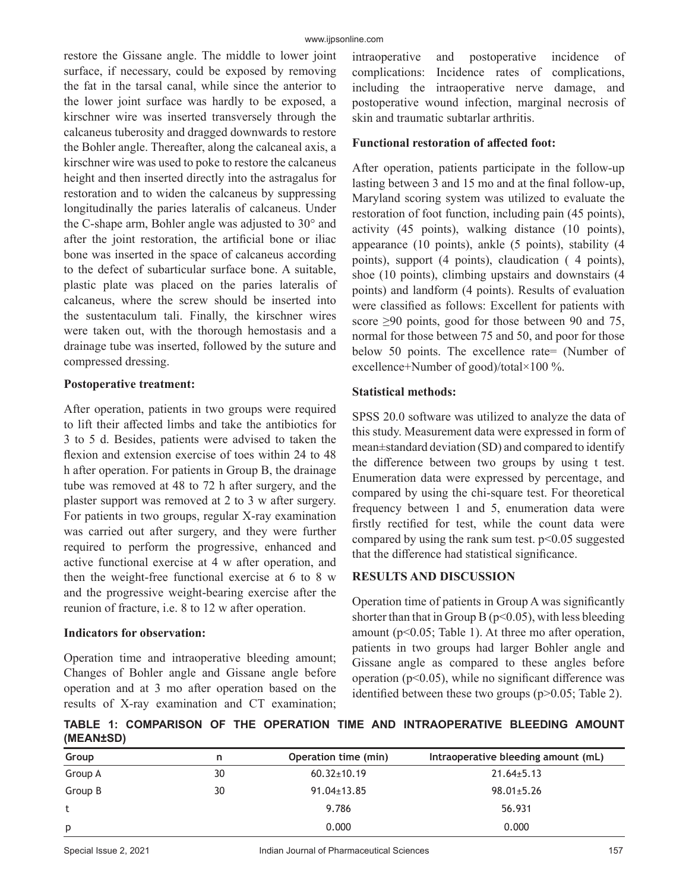restore the Gissane angle. The middle to lower joint surface, if necessary, could be exposed by removing the fat in the tarsal canal, while since the anterior to the lower joint surface was hardly to be exposed, a kirschner wire was inserted transversely through the calcaneus tuberosity and dragged downwards to restore the Bohler angle. Thereafter, along the calcaneal axis, a kirschner wire was used to poke to restore the calcaneus height and then inserted directly into the astragalus for restoration and to widen the calcaneus by suppressing longitudinally the paries lateralis of calcaneus. Under the C-shape arm, Bohler angle was adjusted to 30° and after the joint restoration, the artificial bone or iliac bone was inserted in the space of calcaneus according to the defect of subarticular surface bone. A suitable, plastic plate was placed on the paries lateralis of calcaneus, where the screw should be inserted into the sustentaculum tali. Finally, the kirschner wires were taken out, with the thorough hemostasis and a drainage tube was inserted, followed by the suture and compressed dressing.

#### **Postoperative treatment:**

After operation, patients in two groups were required to lift their affected limbs and take the antibiotics for 3 to 5 d. Besides, patients were advised to taken the flexion and extension exercise of toes within 24 to 48 h after operation. For patients in Group B, the drainage tube was removed at 48 to 72 h after surgery, and the plaster support was removed at 2 to 3 w after surgery. For patients in two groups, regular X-ray examination was carried out after surgery, and they were further required to perform the progressive, enhanced and active functional exercise at 4 w after operation, and then the weight-free functional exercise at 6 to 8 w and the progressive weight-bearing exercise after the reunion of fracture, i.e. 8 to 12 w after operation.

## **Indicators for observation:**

Operation time and intraoperative bleeding amount; Changes of Bohler angle and Gissane angle before operation and at 3 mo after operation based on the results of X-ray examination and CT examination; intraoperative and postoperative incidence of complications: Incidence rates of complications, including the intraoperative nerve damage, and postoperative wound infection, marginal necrosis of skin and traumatic subtarlar arthritis.

## **Functional restoration of affected foot:**

After operation, patients participate in the follow-up lasting between 3 and 15 mo and at the final follow-up, Maryland scoring system was utilized to evaluate the restoration of foot function, including pain (45 points), activity (45 points), walking distance (10 points), appearance (10 points), ankle (5 points), stability (4 points), support (4 points), claudication ( 4 points), shoe (10 points), climbing upstairs and downstairs (4 points) and landform (4 points). Results of evaluation were classified as follows: Excellent for patients with score ≥90 points, good for those between 90 and 75, normal for those between 75 and 50, and poor for those below 50 points. The excellence rate= (Number of excellence+Number of good)/total×100 %.

## **Statistical methods:**

SPSS 20.0 software was utilized to analyze the data of this study. Measurement data were expressed in form of mean±standard deviation (SD) and compared to identify the difference between two groups by using t test. Enumeration data were expressed by percentage, and compared by using the chi-square test. For theoretical frequency between 1 and 5, enumeration data were firstly rectified for test, while the count data were compared by using the rank sum test.  $p<0.05$  suggested that the difference had statistical significance.

## **RESULTS AND DISCUSSION**

Operation time of patients in Group A was significantly shorter than that in Group B ( $p<0.05$ ), with less bleeding amount ( $p<0.05$ ; Table 1). At three mo after operation, patients in two groups had larger Bohler angle and Gissane angle as compared to these angles before operation ( $p<0.05$ ), while no significant difference was identified between these two groups  $(p>0.05;$  Table 2).

**TABLE 1: COMPARISON OF THE OPERATION TIME AND INTRAOPERATIVE BLEEDING AMOUNT (MEAN±SD)**

| Group   | n  | Operation time (min) | Intraoperative bleeding amount (mL) |  |  |
|---------|----|----------------------|-------------------------------------|--|--|
| Group A | 30 | $60.32 \pm 10.19$    | $21.64 \pm 5.13$                    |  |  |
| Group B | 30 | $91.04 \pm 13.85$    | $98.01 \pm 5.26$                    |  |  |
|         |    | 9.786                | 56.931                              |  |  |
| p       |    | 0.000                | 0.000                               |  |  |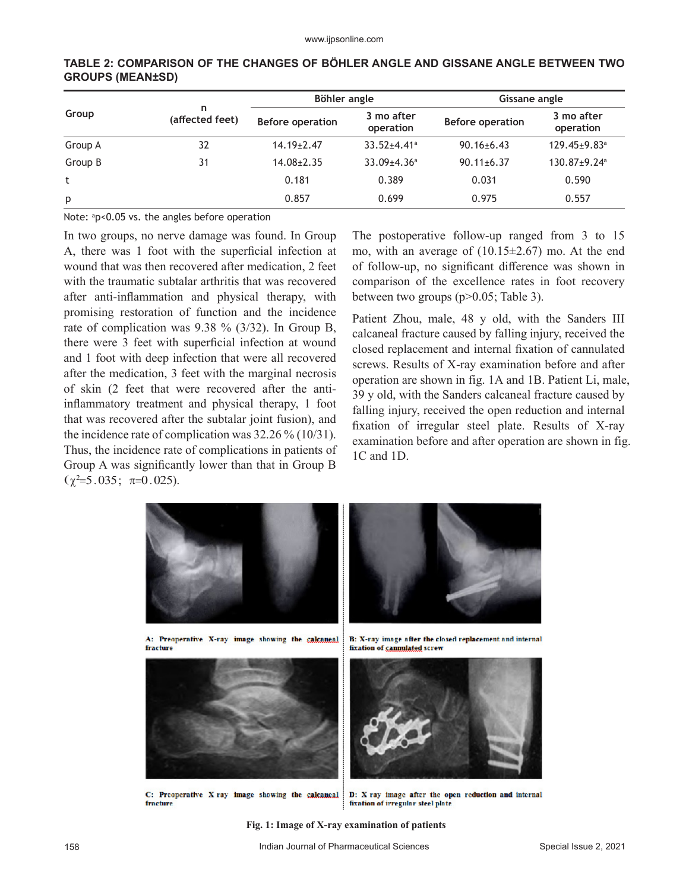| Group   | n<br>(affected feet) | Böhler angle            |                               | Gissane angle           |                                |  |
|---------|----------------------|-------------------------|-------------------------------|-------------------------|--------------------------------|--|
|         |                      | <b>Before operation</b> | 3 mo after<br>operation       | <b>Before operation</b> | 3 mo after<br>operation        |  |
| Group A | 32                   | $14.19 \pm 2.47$        | $33.52 \pm 4.41$ <sup>a</sup> | $90.16 \pm 6.43$        | $129.45 \pm 9.83$ <sup>a</sup> |  |
| Group B | 31                   | $14.08 \pm 2.35$        | $33.09 \pm 4.36$ <sup>a</sup> | $90.11 \pm 6.37$        | $130.87+9.24$ <sup>a</sup>     |  |
| t       |                      | 0.181                   | 0.389                         | 0.031                   | 0.590                          |  |
| p       |                      | 0.857                   | 0.699                         | 0.975                   | 0.557                          |  |

#### **TABLE 2: COMPARISON OF THE CHANGES OF BÖHLER ANGLE AND GISSANE ANGLE BETWEEN TWO GROUPS (MEAN±SD)**

Note: a p<0.05 vs. the angles before operation

In two groups, no nerve damage was found. In Group A, there was 1 foot with the superficial infection at wound that was then recovered after medication, 2 feet with the traumatic subtalar arthritis that was recovered after anti-inflammation and physical therapy, with promising restoration of function and the incidence rate of complication was 9.38 % (3/32). In Group B, there were 3 feet with superficial infection at wound and 1 foot with deep infection that were all recovered after the medication, 3 feet with the marginal necrosis of skin (2 feet that were recovered after the antiinflammatory treatment and physical therapy, 1 foot that was recovered after the subtalar joint fusion), and the incidence rate of complication was 32.26 % (10/31). Thus, the incidence rate of complications in patients of Group A was significantly lower than that in Group B  $(\chi^2 = 5.035; \pi = 0.025).$ 

The postoperative follow-up ranged from 3 to 15 mo, with an average of (10.15±2.67) mo. At the end of follow-up, no significant difference was shown in comparison of the excellence rates in foot recovery between two groups (p>0.05; Table 3).

Patient Zhou, male, 48 y old, with the Sanders III calcaneal fracture caused by falling injury, received the closed replacement and internal fixation of cannulated screws. Results of X-ray examination before and after operation are shown in fig. 1A and 1B. Patient Li, male, 39 y old, with the Sanders calcaneal fracture caused by falling injury, received the open reduction and internal fixation of irregular steel plate. Results of X-ray examination before and after operation are shown in fig. 1C and 1D.



A: Preoperative X-ray image showing the calcaneal fracture

B: X-ray image after the closed replacement and internal fixation of cannulated screw



C: Preoperative X ray image showing the calcancal fracture



D: X ray image after the open reduction and internal fixation of irregular steel plate

**Fig. 1: Image of X-ray examination of patients**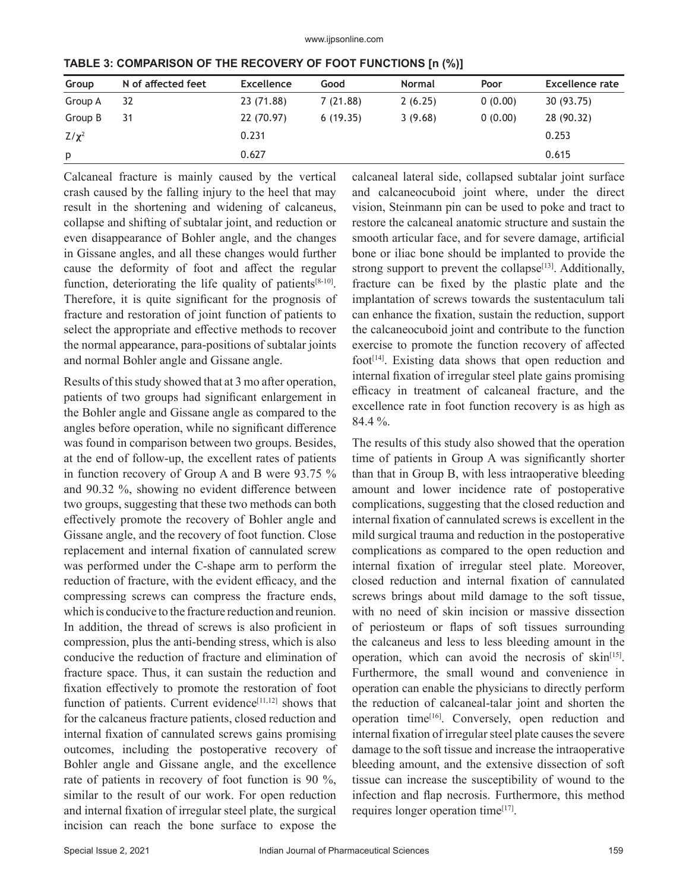| Group      | N of affected feet | <b>Excellence</b> | Good     | <b>Normal</b> | Poor    | Excellence rate |
|------------|--------------------|-------------------|----------|---------------|---------|-----------------|
| Group A    | 32                 | 23 (71.88)        | 7(21.88) | 2(6.25)       | 0(0.00) | 30 (93.75)      |
| Group B    | 31                 | 22 (70.97)        | 6(19.35) | 3(9.68)       | 0(0.00) | 28 (90.32)      |
| $Z/\chi^2$ |                    | 0.231             |          |               |         | 0.253           |
| p          |                    | 0.627             |          |               |         | 0.615           |

**TABLE 3: COMPARISON OF THE RECOVERY OF FOOT FUNCTIONS [n (%)]**

Calcaneal fracture is mainly caused by the vertical crash caused by the falling injury to the heel that may result in the shortening and widening of calcaneus, collapse and shifting of subtalar joint, and reduction or even disappearance of Bohler angle, and the changes in Gissane angles, and all these changes would further cause the deformity of foot and affect the regular function, deteriorating the life quality of patients $[8-10]$ . Therefore, it is quite significant for the prognosis of fracture and restoration of joint function of patients to select the appropriate and effective methods to recover the normal appearance, para-positions of subtalar joints and normal Bohler angle and Gissane angle.

Results of this study showed that at 3 mo after operation, patients of two groups had significant enlargement in the Bohler angle and Gissane angle as compared to the angles before operation, while no significant difference was found in comparison between two groups. Besides, at the end of follow-up, the excellent rates of patients in function recovery of Group A and B were 93.75 % and 90.32 %, showing no evident difference between two groups, suggesting that these two methods can both effectively promote the recovery of Bohler angle and Gissane angle, and the recovery of foot function. Close replacement and internal fixation of cannulated screw was performed under the C-shape arm to perform the reduction of fracture, with the evident efficacy, and the compressing screws can compress the fracture ends, which is conducive to the fracture reduction and reunion. In addition, the thread of screws is also proficient in compression, plus the anti-bending stress, which is also conducive the reduction of fracture and elimination of fracture space. Thus, it can sustain the reduction and fixation effectively to promote the restoration of foot function of patients. Current evidence $[11,12]$  shows that for the calcaneus fracture patients, closed reduction and internal fixation of cannulated screws gains promising outcomes, including the postoperative recovery of Bohler angle and Gissane angle, and the excellence rate of patients in recovery of foot function is 90 %, similar to the result of our work. For open reduction and internal fixation of irregular steel plate, the surgical incision can reach the bone surface to expose the calcaneal lateral side, collapsed subtalar joint surface and calcaneocuboid joint where, under the direct vision, Steinmann pin can be used to poke and tract to restore the calcaneal anatomic structure and sustain the smooth articular face, and for severe damage, artificial bone or iliac bone should be implanted to provide the strong support to prevent the collapse<sup>[13]</sup>. Additionally, fracture can be fixed by the plastic plate and the implantation of screws towards the sustentaculum tali can enhance the fixation, sustain the reduction, support the calcaneocuboid joint and contribute to the function exercise to promote the function recovery of affected foot<sup>[14]</sup>. Existing data shows that open reduction and internal fixation of irregular steel plate gains promising efficacy in treatment of calcaneal fracture, and the excellence rate in foot function recovery is as high as 84.4 %.

The results of this study also showed that the operation time of patients in Group A was significantly shorter than that in Group B, with less intraoperative bleeding amount and lower incidence rate of postoperative complications, suggesting that the closed reduction and internal fixation of cannulated screws is excellent in the mild surgical trauma and reduction in the postoperative complications as compared to the open reduction and internal fixation of irregular steel plate. Moreover, closed reduction and internal fixation of cannulated screws brings about mild damage to the soft tissue, with no need of skin incision or massive dissection of periosteum or flaps of soft tissues surrounding the calcaneus and less to less bleeding amount in the operation, which can avoid the necrosis of skin<sup>[15]</sup>. Furthermore, the small wound and convenience in operation can enable the physicians to directly perform the reduction of calcaneal-talar joint and shorten the operation time[16]. Conversely, open reduction and internal fixation of irregular steel plate causes the severe damage to the soft tissue and increase the intraoperative bleeding amount, and the extensive dissection of soft tissue can increase the susceptibility of wound to the infection and flap necrosis. Furthermore, this method requires longer operation time<sup>[17]</sup>.